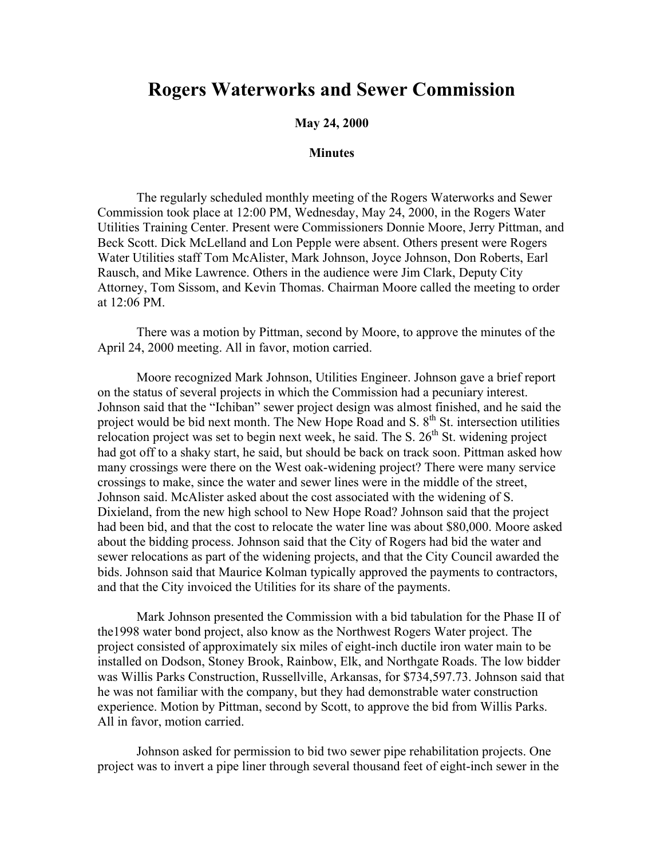## **Rogers Waterworks and Sewer Commission**

## **May 24, 2000**

## **Minutes**

The regularly scheduled monthly meeting of the Rogers Waterworks and Sewer Commission took place at 12:00 PM, Wednesday, May 24, 2000, in the Rogers Water Utilities Training Center. Present were Commissioners Donnie Moore, Jerry Pittman, and Beck Scott. Dick McLelland and Lon Pepple were absent. Others present were Rogers Water Utilities staff Tom McAlister, Mark Johnson, Joyce Johnson, Don Roberts, Earl Rausch, and Mike Lawrence. Others in the audience were Jim Clark, Deputy City Attorney, Tom Sissom, and Kevin Thomas. Chairman Moore called the meeting to order at 12:06 PM.

There was a motion by Pittman, second by Moore, to approve the minutes of the April 24, 2000 meeting. All in favor, motion carried.

Moore recognized Mark Johnson, Utilities Engineer. Johnson gave a brief report on the status of several projects in which the Commission had a pecuniary interest. Johnson said that the "Ichiban" sewer project design was almost finished, and he said the project would be bid next month. The New Hope Road and S.  $8<sup>th</sup>$  St. intersection utilities relocation project was set to begin next week, he said. The S.  $26<sup>th</sup>$  St. widening project had got off to a shaky start, he said, but should be back on track soon. Pittman asked how many crossings were there on the West oak-widening project? There were many service crossings to make, since the water and sewer lines were in the middle of the street, Johnson said. McAlister asked about the cost associated with the widening of S. Dixieland, from the new high school to New Hope Road? Johnson said that the project had been bid, and that the cost to relocate the water line was about \$80,000. Moore asked about the bidding process. Johnson said that the City of Rogers had bid the water and sewer relocations as part of the widening projects, and that the City Council awarded the bids. Johnson said that Maurice Kolman typically approved the payments to contractors, and that the City invoiced the Utilities for its share of the payments.

Mark Johnson presented the Commission with a bid tabulation for the Phase II of the1998 water bond project, also know as the Northwest Rogers Water project. The project consisted of approximately six miles of eight-inch ductile iron water main to be installed on Dodson, Stoney Brook, Rainbow, Elk, and Northgate Roads. The low bidder was Willis Parks Construction, Russellville, Arkansas, for \$734,597.73. Johnson said that he was not familiar with the company, but they had demonstrable water construction experience. Motion by Pittman, second by Scott, to approve the bid from Willis Parks. All in favor, motion carried.

Johnson asked for permission to bid two sewer pipe rehabilitation projects. One project was to invert a pipe liner through several thousand feet of eight-inch sewer in the